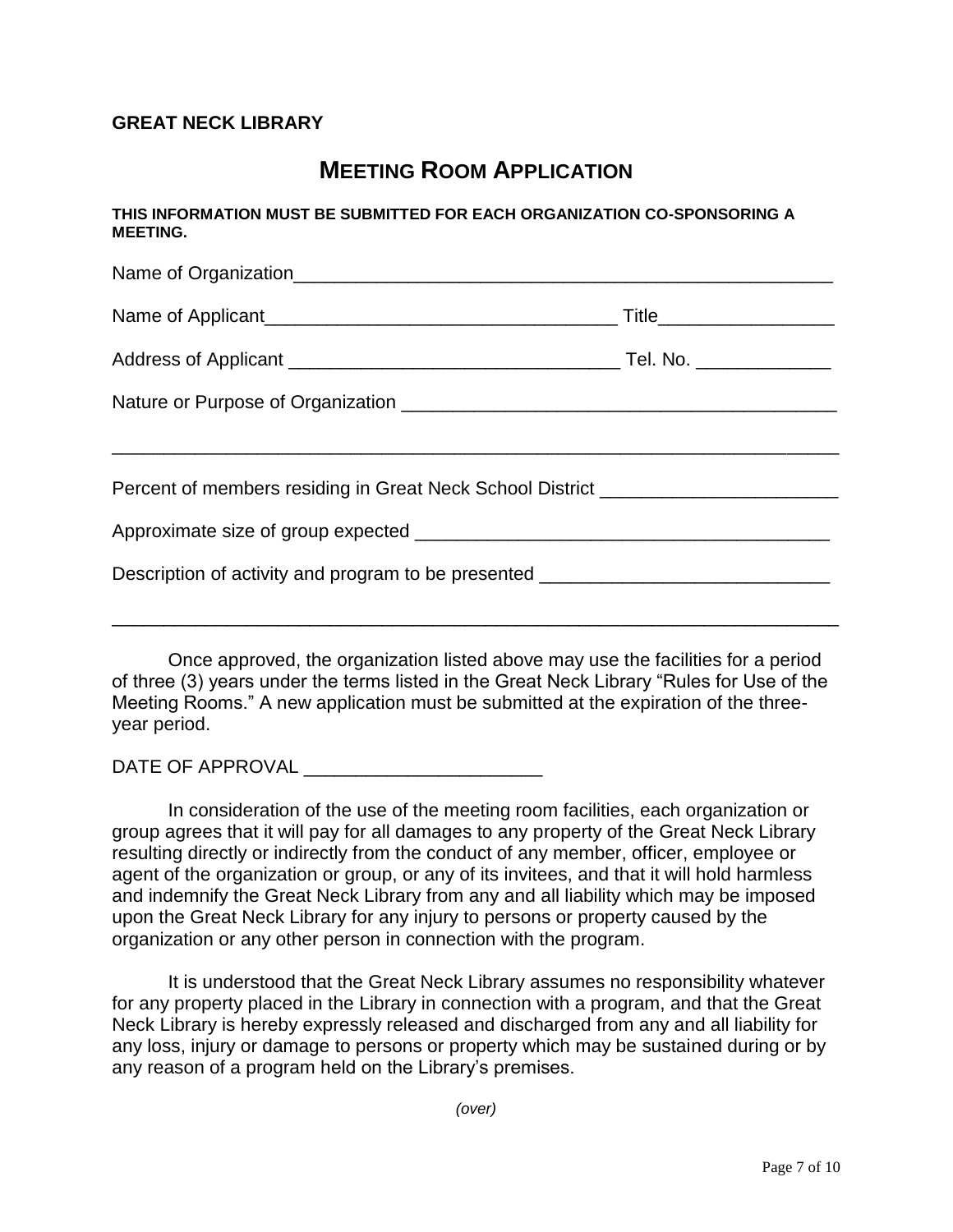## **GREAT NECK LIBRARY**

## **MEETING ROOM APPLICATION**

**THIS INFORMATION MUST BE SUBMITTED FOR EACH ORGANIZATION CO-SPONSORING A MEETING.**

|                                                                                  | Title_______________________ |  |
|----------------------------------------------------------------------------------|------------------------------|--|
|                                                                                  |                              |  |
|                                                                                  |                              |  |
|                                                                                  |                              |  |
| Percent of members residing in Great Neck School District ______________________ |                              |  |
|                                                                                  |                              |  |
| Description of activity and program to be presented ____________________________ |                              |  |
|                                                                                  |                              |  |

Once approved, the organization listed above may use the facilities for a period of three (3) years under the terms listed in the Great Neck Library "Rules for Use of the Meeting Rooms." A new application must be submitted at the expiration of the threeyear period.

DATE OF APPROVAL

In consideration of the use of the meeting room facilities, each organization or group agrees that it will pay for all damages to any property of the Great Neck Library resulting directly or indirectly from the conduct of any member, officer, employee or agent of the organization or group, or any of its invitees, and that it will hold harmless and indemnify the Great Neck Library from any and all liability which may be imposed upon the Great Neck Library for any injury to persons or property caused by the organization or any other person in connection with the program.

It is understood that the Great Neck Library assumes no responsibility whatever for any property placed in the Library in connection with a program, and that the Great Neck Library is hereby expressly released and discharged from any and all liability for any loss, injury or damage to persons or property which may be sustained during or by any reason of a program held on the Library's premises.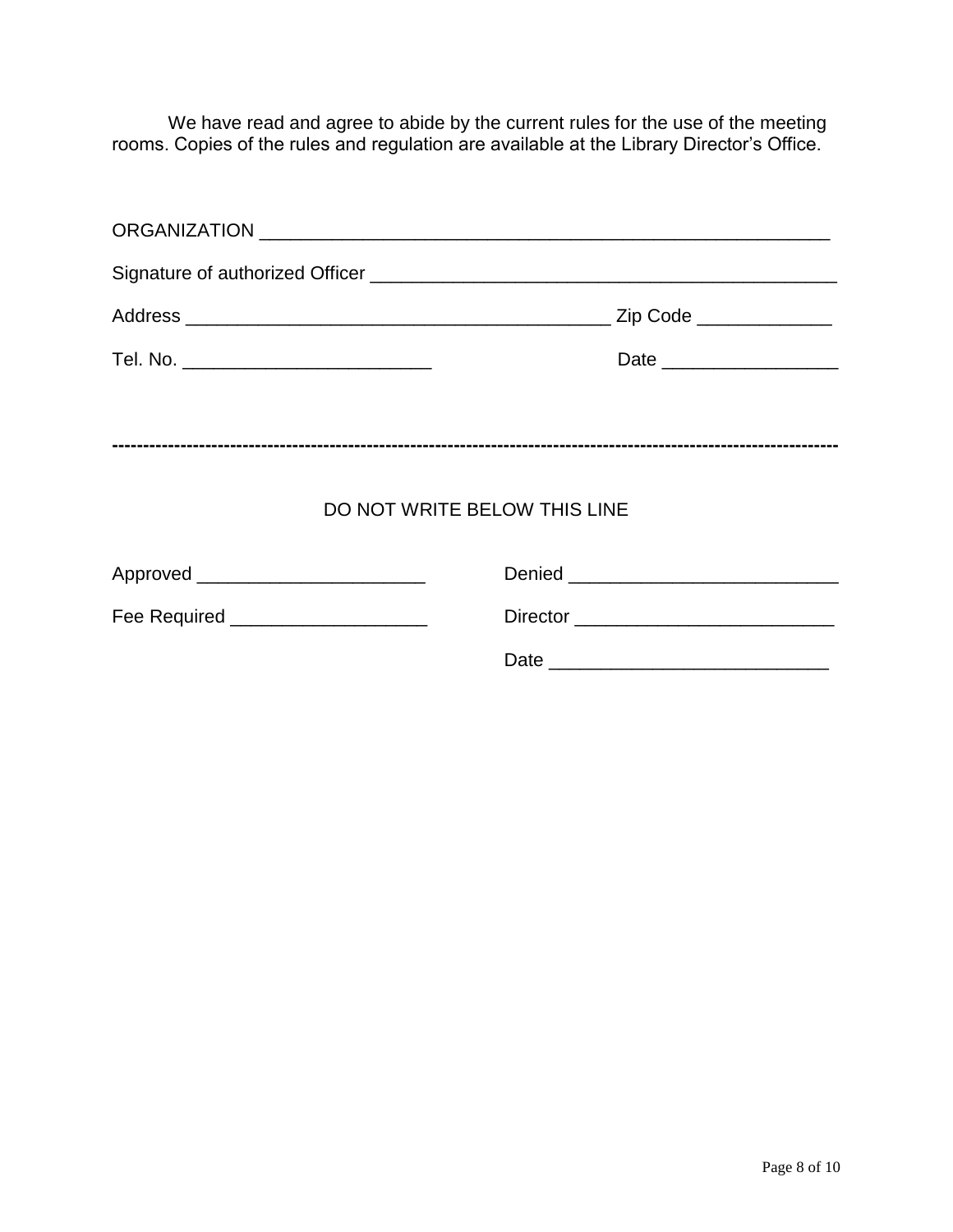We have read and agree to abide by the current rules for the use of the meeting rooms. Copies of the rules and regulation are available at the Library Director's Office.

| Tel. No. ________________________________ |  |  |  |
|-------------------------------------------|--|--|--|
|                                           |  |  |  |
|                                           |  |  |  |
| DO NOT WRITE BELOW THIS LINE              |  |  |  |
| Approved ___________________________      |  |  |  |
| Fee Required ____________________         |  |  |  |
|                                           |  |  |  |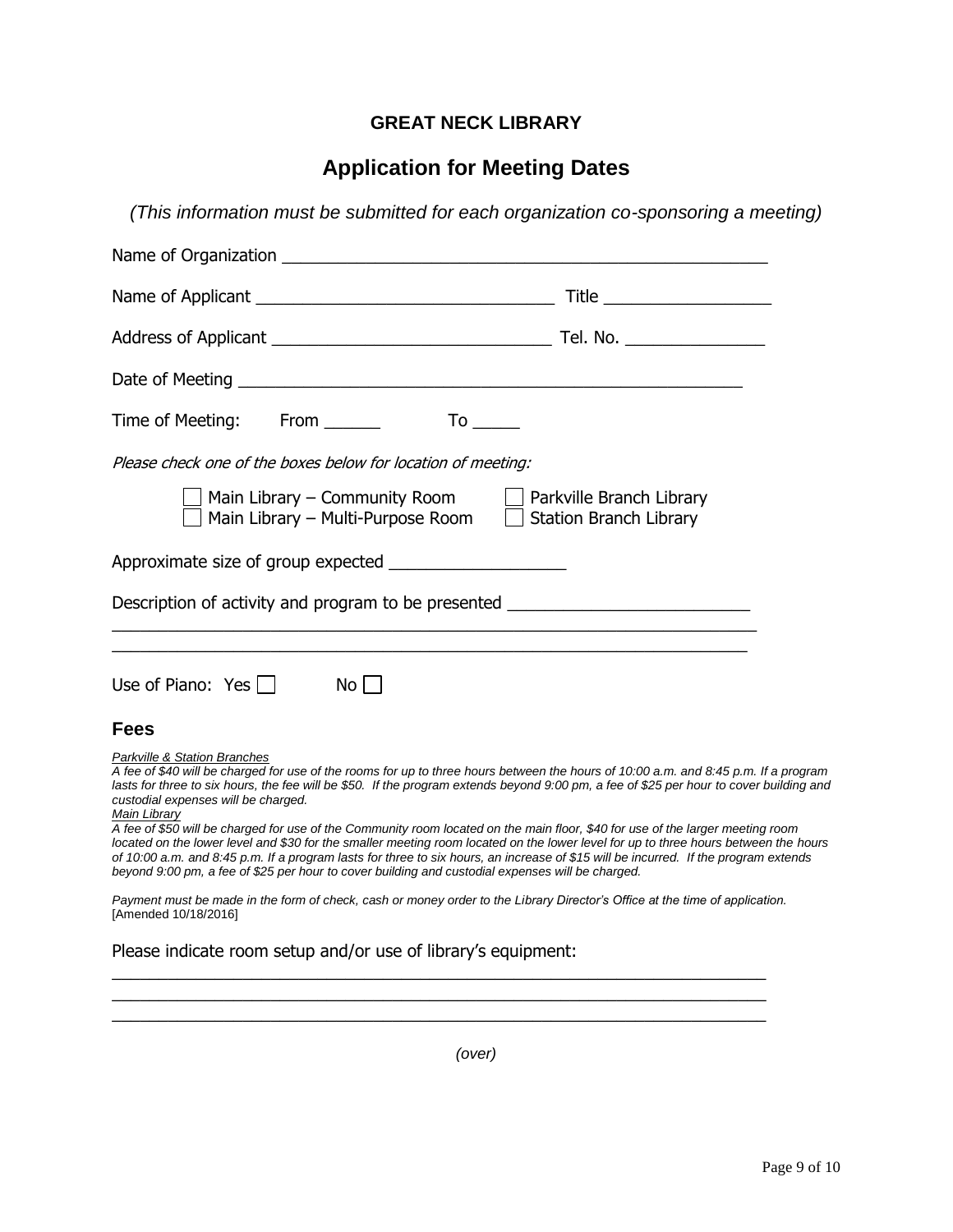## **GREAT NECK LIBRARY**

## **Application for Meeting Dates**

*(This information must be submitted for each organization co-sponsoring a meeting)*

*(over)*

 $\_$  , and the set of the set of the set of the set of the set of the set of the set of the set of the set of the set of the set of the set of the set of the set of the set of the set of the set of the set of the set of th \_\_\_\_\_\_\_\_\_\_\_\_\_\_\_\_\_\_\_\_\_\_\_\_\_\_\_\_\_\_\_\_\_\_\_\_\_\_\_\_\_\_\_\_\_\_\_\_\_\_\_\_\_\_\_\_\_\_\_\_\_\_\_\_\_\_\_\_\_\_